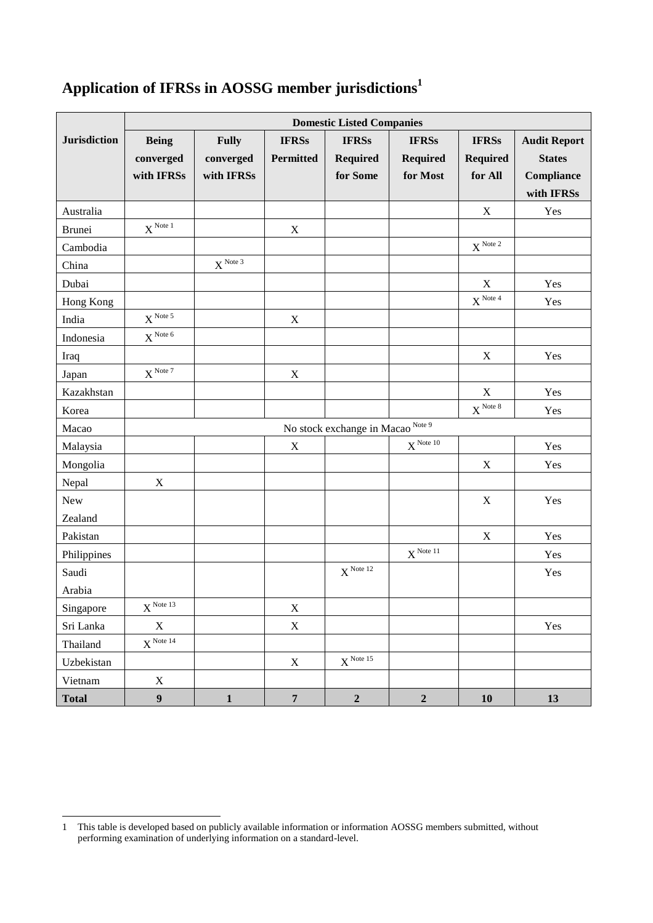## **Application of IFRSs in AOSSG member jurisdictions<sup>1</sup>**

|                     | <b>Domestic Listed Companies</b>             |                     |                  |                      |                  |                 |                     |
|---------------------|----------------------------------------------|---------------------|------------------|----------------------|------------------|-----------------|---------------------|
| <b>Jurisdiction</b> | <b>Being</b>                                 | <b>Fully</b>        | <b>IFRSs</b>     | <b>IFRSs</b>         | <b>IFRSs</b>     | <b>IFRSs</b>    | <b>Audit Report</b> |
|                     | converged                                    | converged           | <b>Permitted</b> | <b>Required</b>      | <b>Required</b>  | <b>Required</b> | <b>States</b>       |
|                     | with IFRSs                                   | with IFRSs          |                  | for Some             | for Most         | for All         | Compliance          |
|                     |                                              |                     |                  |                      |                  |                 | with IFRSs          |
| Australia           |                                              |                     |                  |                      |                  | X               | Yes                 |
| <b>Brunei</b>       | $X^{Note 1}$                                 |                     | $\mathbf X$      |                      |                  |                 |                     |
| Cambodia            |                                              |                     |                  |                      |                  | $X^{Note 2}$    |                     |
| China               |                                              | $X^{\text{Note }3}$ |                  |                      |                  |                 |                     |
| Dubai               |                                              |                     |                  |                      |                  | X               | Yes                 |
| Hong Kong           |                                              |                     |                  |                      |                  | $X^{Note\,4}$   | Yes                 |
| India               | $X^{Note 5}$                                 |                     | $\mathbf X$      |                      |                  |                 |                     |
| Indonesia           | $X^{Note 6}$                                 |                     |                  |                      |                  |                 |                     |
| Iraq                |                                              |                     |                  |                      |                  | $\mathbf X$     | Yes                 |
| Japan               | $X^{\text{Note }7}$                          |                     | $\mathbf X$      |                      |                  |                 |                     |
| Kazakhstan          |                                              |                     |                  |                      |                  | $\mathbf X$     | Yes                 |
| Korea               |                                              |                     |                  |                      |                  | $X^{Note 8}$    | Yes                 |
| Macao               | No stock exchange in Macao <sup>Note 9</sup> |                     |                  |                      |                  |                 |                     |
| Malaysia            |                                              |                     | $\mathbf X$      |                      | $X^{Note 10}$    |                 | Yes                 |
| Mongolia            |                                              |                     |                  |                      |                  | $\mathbf X$     | Yes                 |
| Nepal               | $\mathbf X$                                  |                     |                  |                      |                  |                 |                     |
| New                 |                                              |                     |                  |                      |                  | $\mathbf X$     | Yes                 |
| Zealand             |                                              |                     |                  |                      |                  |                 |                     |
| Pakistan            |                                              |                     |                  |                      |                  | $\mathbf X$     | Yes                 |
| Philippines         |                                              |                     |                  |                      | $X^{Note 11}$    |                 | Yes                 |
| Saudi               |                                              |                     |                  | $X^{Note 12}$        |                  |                 | Yes                 |
| Arabia              |                                              |                     |                  |                      |                  |                 |                     |
| Singapore           | $X^{Note 13}$                                |                     | $\mathbf X$      |                      |                  |                 |                     |
| Sri Lanka           | $\mathbf X$                                  |                     | $\mathbf X$      |                      |                  |                 | Yes                 |
| Thailand            | $X^{Note 14}$                                |                     |                  |                      |                  |                 |                     |
| Uzbekistan          |                                              |                     | $\mathbf X$      | $X^{\text{Note }15}$ |                  |                 |                     |
| Vietnam             | $\mathbf X$                                  |                     |                  |                      |                  |                 |                     |
| <b>Total</b>        | $\boldsymbol{9}$                             | $\mathbf{1}$        | $\overline{7}$   | $\mathbf 2$          | $\boldsymbol{2}$ | 10              | 13                  |

 1 This table is developed based on publicly available information or information AOSSG members submitted, without performing examination of underlying information on a standard-level.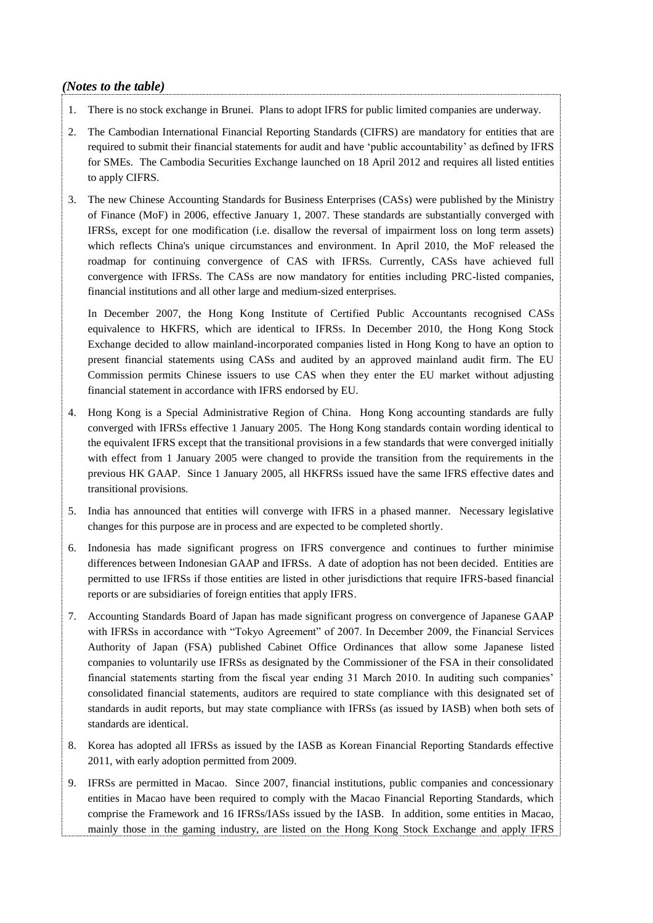## *(Notes to the table)*

- 1. There is no stock exchange in Brunei. Plans to adopt IFRS for public limited companies are underway.
- 2. The Cambodian International Financial Reporting Standards (CIFRS) are mandatory for entities that are required to submit their financial statements for audit and have 'public accountability' as defined by IFRS for SMEs. The Cambodia Securities Exchange launched on 18 April 2012 and requires all listed entities to apply CIFRS.
- 3. The new Chinese Accounting Standards for Business Enterprises (CASs) were published by the Ministry of Finance (MoF) in 2006, effective January 1, 2007. These standards are substantially converged with IFRSs, except for one modification (i.e. disallow the reversal of impairment loss on long term assets) which reflects China's unique circumstances and environment. In April 2010, the MoF released the roadmap for continuing convergence of CAS with IFRSs. Currently, CASs have achieved full convergence with IFRSs. The CASs are now mandatory for entities including PRC-listed companies, financial institutions and all other large and medium-sized enterprises.

In December 2007, the Hong Kong Institute of Certified Public Accountants recognised CASs equivalence to HKFRS, which are identical to IFRSs. In December 2010, the Hong Kong Stock Exchange decided to allow mainland-incorporated companies listed in Hong Kong to have an option to present financial statements using CASs and audited by an approved mainland audit firm. The EU Commission permits Chinese issuers to use CAS when they enter the EU market without adjusting financial statement in accordance with IFRS endorsed by EU.

- 4. Hong Kong is a Special Administrative Region of China. Hong Kong accounting standards are fully converged with IFRSs effective 1 January 2005. The Hong Kong standards contain wording identical to the equivalent IFRS except that the transitional provisions in a few standards that were converged initially with effect from 1 January 2005 were changed to provide the transition from the requirements in the previous HK GAAP. Since 1 January 2005, all HKFRSs issued have the same IFRS effective dates and transitional provisions.
- 5. India has announced that entities will converge with IFRS in a phased manner. Necessary legislative changes for this purpose are in process and are expected to be completed shortly.
- 6. Indonesia has made significant progress on IFRS convergence and continues to further minimise differences between Indonesian GAAP and IFRSs. A date of adoption has not been decided. Entities are permitted to use IFRSs if those entities are listed in other jurisdictions that require IFRS-based financial reports or are subsidiaries of foreign entities that apply IFRS.
- 7. Accounting Standards Board of Japan has made significant progress on convergence of Japanese GAAP with IFRSs in accordance with "Tokyo Agreement" of 2007. In December 2009, the Financial Services Authority of Japan (FSA) published Cabinet Office Ordinances that allow some Japanese listed companies to voluntarily use IFRSs as designated by the Commissioner of the FSA in their consolidated financial statements starting from the fiscal year ending 31 March 2010. In auditing such companies' consolidated financial statements, auditors are required to state compliance with this designated set of standards in audit reports, but may state compliance with IFRSs (as issued by IASB) when both sets of standards are identical.
- 8. Korea has adopted all IFRSs as issued by the IASB as Korean Financial Reporting Standards effective 2011, with early adoption permitted from 2009.
- 9. IFRSs are permitted in Macao. Since 2007, financial institutions, public companies and concessionary entities in Macao have been required to comply with the Macao Financial Reporting Standards, which comprise the Framework and 16 IFRSs/IASs issued by the IASB. In addition, some entities in Macao, mainly those in the gaming industry, are listed on the Hong Kong Stock Exchange and apply IFRS